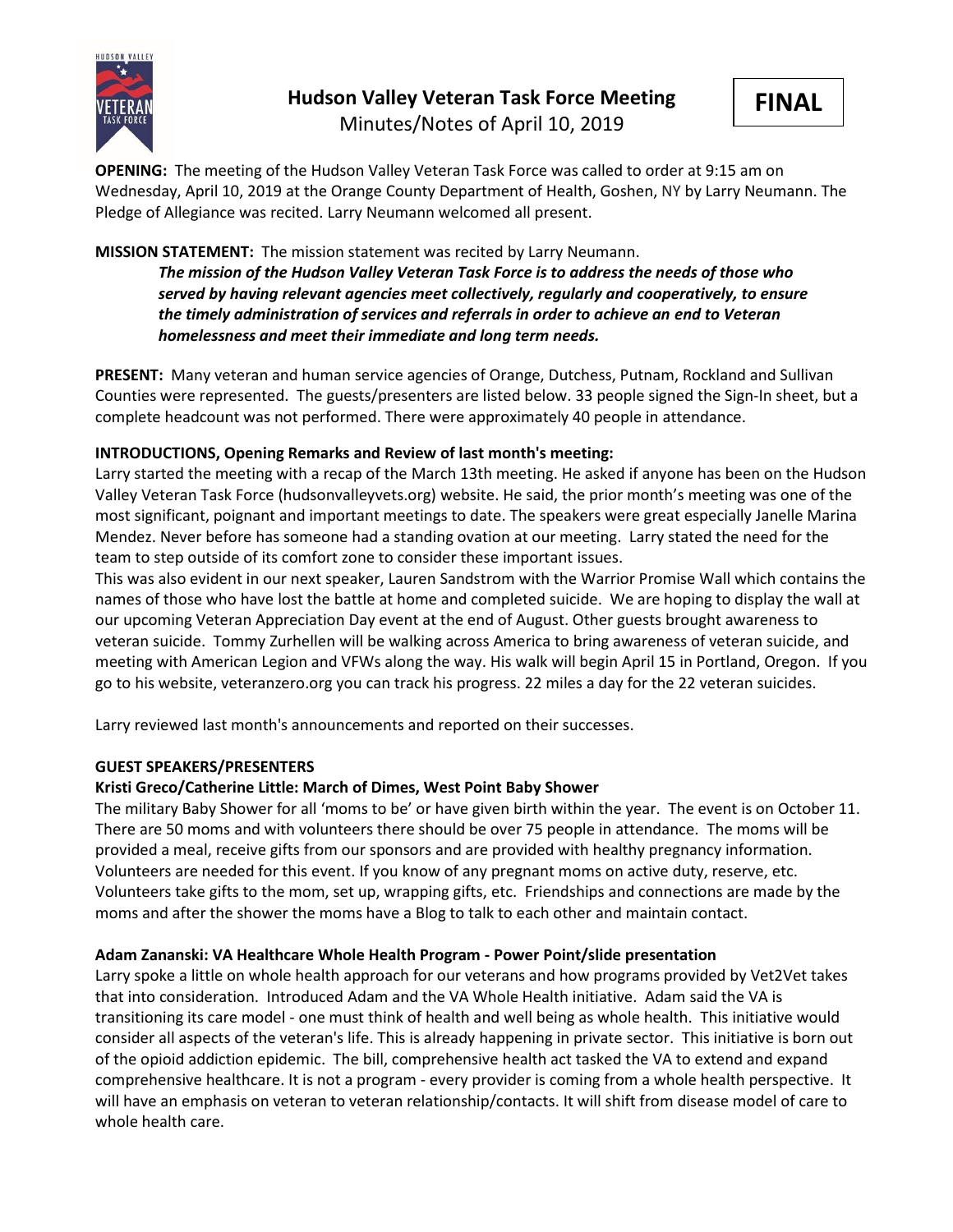

# **Hudson Valley Veteran Task Force Meeting**



Minutes/Notes of April 10, 2019

**OPENING:** The meeting of the Hudson Valley Veteran Task Force was called to order at 9:15 am on Wednesday, April 10, 2019 at the Orange County Department of Health, Goshen, NY by Larry Neumann. The Pledge of Allegiance was recited. Larry Neumann welcomed all present.

#### **MISSION STATEMENT:** The mission statement was recited by Larry Neumann.

*The mission of the Hudson Valley Veteran Task Force is to address the needs of those who served by having relevant agencies meet collectively, regularly and cooperatively, to ensure the timely administration of services and referrals in order to achieve an end to Veteran homelessness and meet their immediate and long term needs.* 

**PRESENT:** Many veteran and human service agencies of Orange, Dutchess, Putnam, Rockland and Sullivan Counties were represented. The guests/presenters are listed below. 33 people signed the Sign-In sheet, but a complete headcount was not performed. There were approximately 40 people in attendance.

#### **INTRODUCTIONS, Opening Remarks and Review of last month's meeting:**

Larry started the meeting with a recap of the March 13th meeting. He asked if anyone has been on the Hudson Valley Veteran Task Force (hudsonvalleyvets.org) website. He said, the prior month's meeting was one of the most significant, poignant and important meetings to date. The speakers were great especially Janelle Marina Mendez. Never before has someone had a standing ovation at our meeting. Larry stated the need for the team to step outside of its comfort zone to consider these important issues.

This was also evident in our next speaker, Lauren Sandstrom with the Warrior Promise Wall which contains the names of those who have lost the battle at home and completed suicide. We are hoping to display the wall at our upcoming Veteran Appreciation Day event at the end of August. Other guests brought awareness to veteran suicide. Tommy Zurhellen will be walking across America to bring awareness of veteran suicide, and meeting with American Legion and VFWs along the way. His walk will begin April 15 in Portland, Oregon. If you go to his website, veteranzero.org you can track his progress. 22 miles a day for the 22 veteran suicides.

Larry reviewed last month's announcements and reported on their successes.

#### **GUEST SPEAKERS/PRESENTERS**

#### **Kristi Greco/Catherine Little: March of Dimes, West Point Baby Shower**

The military Baby Shower for all 'moms to be' or have given birth within the year. The event is on October 11. There are 50 moms and with volunteers there should be over 75 people in attendance. The moms will be provided a meal, receive gifts from our sponsors and are provided with healthy pregnancy information. Volunteers are needed for this event. If you know of any pregnant moms on active duty, reserve, etc. Volunteers take gifts to the mom, set up, wrapping gifts, etc. Friendships and connections are made by the moms and after the shower the moms have a Blog to talk to each other and maintain contact.

### **Adam Zananski: VA Healthcare Whole Health Program - Power Point/slide presentation**

Larry spoke a little on whole health approach for our veterans and how programs provided by Vet2Vet takes that into consideration. Introduced Adam and the VA Whole Health initiative. Adam said the VA is transitioning its care model - one must think of health and well being as whole health. This initiative would consider all aspects of the veteran's life. This is already happening in private sector. This initiative is born out of the opioid addiction epidemic. The bill, comprehensive health act tasked the VA to extend and expand comprehensive healthcare. It is not a program - every provider is coming from a whole health perspective. It will have an emphasis on veteran to veteran relationship/contacts. It will shift from disease model of care to whole health care.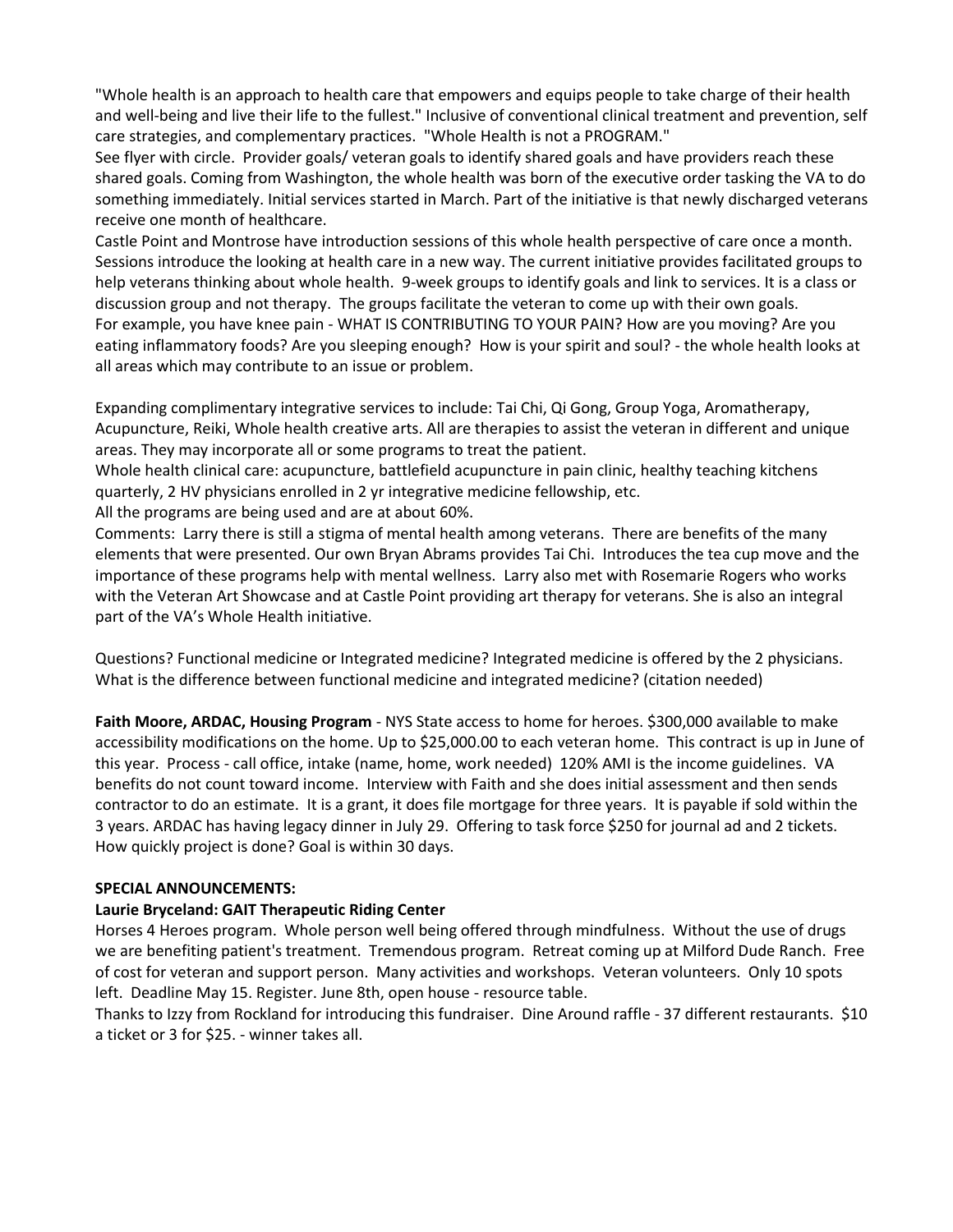"Whole health is an approach to health care that empowers and equips people to take charge of their health and well-being and live their life to the fullest." Inclusive of conventional clinical treatment and prevention, self care strategies, and complementary practices. "Whole Health is not a PROGRAM."

See flyer with circle. Provider goals/ veteran goals to identify shared goals and have providers reach these shared goals. Coming from Washington, the whole health was born of the executive order tasking the VA to do something immediately. Initial services started in March. Part of the initiative is that newly discharged veterans receive one month of healthcare.

Castle Point and Montrose have introduction sessions of this whole health perspective of care once a month. Sessions introduce the looking at health care in a new way. The current initiative provides facilitated groups to help veterans thinking about whole health. 9-week groups to identify goals and link to services. It is a class or discussion group and not therapy. The groups facilitate the veteran to come up with their own goals. For example, you have knee pain - WHAT IS CONTRIBUTING TO YOUR PAIN? How are you moving? Are you eating inflammatory foods? Are you sleeping enough? How is your spirit and soul? - the whole health looks at all areas which may contribute to an issue or problem.

Expanding complimentary integrative services to include: Tai Chi, Qi Gong, Group Yoga, Aromatherapy, Acupuncture, Reiki, Whole health creative arts. All are therapies to assist the veteran in different and unique areas. They may incorporate all or some programs to treat the patient.

Whole health clinical care: acupuncture, battlefield acupuncture in pain clinic, healthy teaching kitchens quarterly, 2 HV physicians enrolled in 2 yr integrative medicine fellowship, etc.

All the programs are being used and are at about 60%.

Comments: Larry there is still a stigma of mental health among veterans. There are benefits of the many elements that were presented. Our own Bryan Abrams provides Tai Chi. Introduces the tea cup move and the importance of these programs help with mental wellness. Larry also met with Rosemarie Rogers who works with the Veteran Art Showcase and at Castle Point providing art therapy for veterans. She is also an integral part of the VA's Whole Health initiative.

Questions? Functional medicine or Integrated medicine? Integrated medicine is offered by the 2 physicians. What is the difference between functional medicine and integrated medicine? (citation needed)

**Faith Moore, ARDAC, Housing Program** - NYS State access to home for heroes. \$300,000 available to make accessibility modifications on the home. Up to \$25,000.00 to each veteran home. This contract is up in June of this year. Process - call office, intake (name, home, work needed) 120% AMI is the income guidelines. VA benefits do not count toward income. Interview with Faith and she does initial assessment and then sends contractor to do an estimate. It is a grant, it does file mortgage for three years. It is payable if sold within the 3 years. ARDAC has having legacy dinner in July 29. Offering to task force \$250 for journal ad and 2 tickets. How quickly project is done? Goal is within 30 days.

#### **SPECIAL ANNOUNCEMENTS:**

#### **Laurie Bryceland: GAIT Therapeutic Riding Center**

Horses 4 Heroes program. Whole person well being offered through mindfulness. Without the use of drugs we are benefiting patient's treatment. Tremendous program. Retreat coming up at Milford Dude Ranch. Free of cost for veteran and support person. Many activities and workshops. Veteran volunteers. Only 10 spots left. Deadline May 15. Register. June 8th, open house - resource table.

Thanks to Izzy from Rockland for introducing this fundraiser. Dine Around raffle - 37 different restaurants. \$10 a ticket or 3 for \$25. - winner takes all.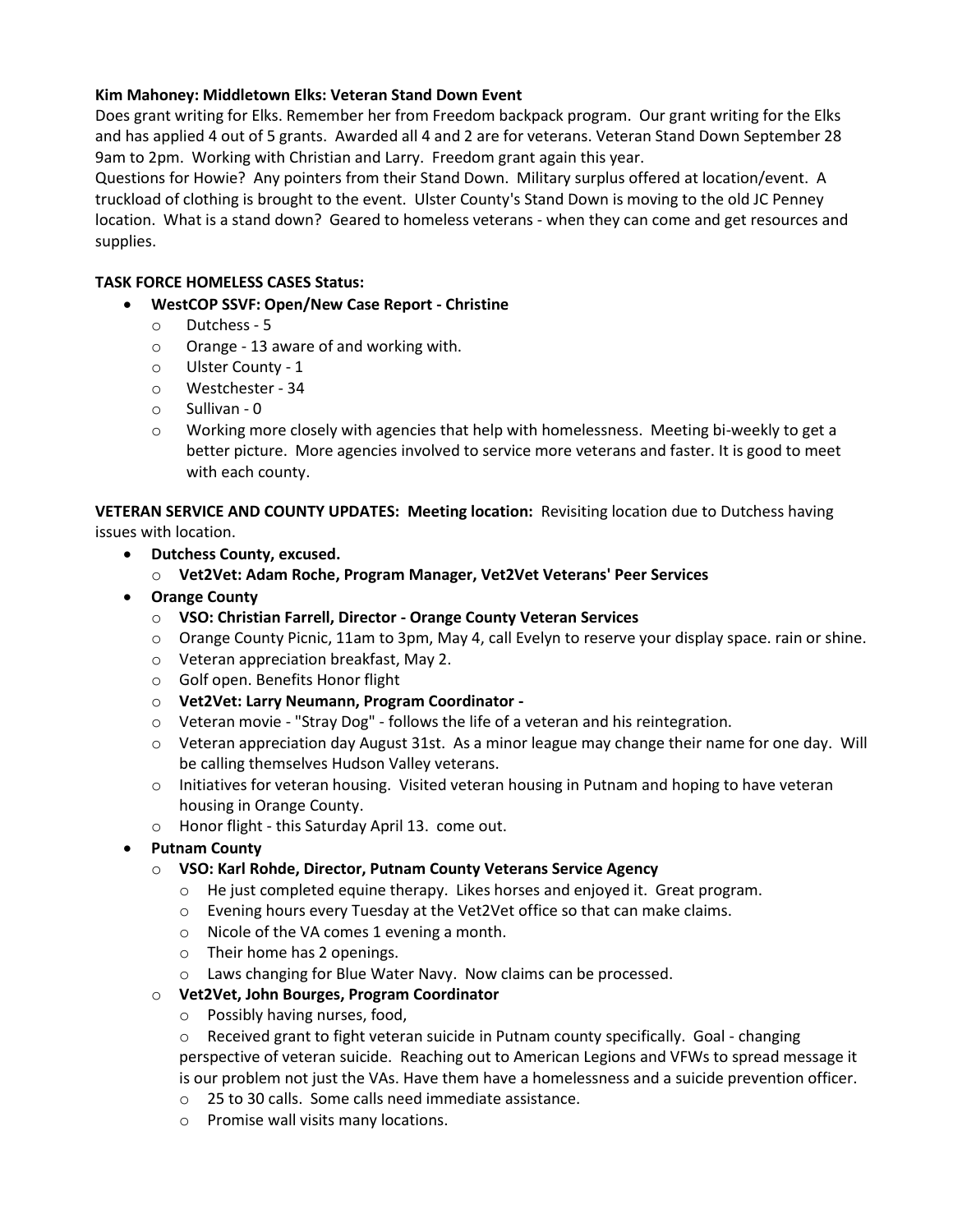#### **Kim Mahoney: Middletown Elks: Veteran Stand Down Event**

Does grant writing for Elks. Remember her from Freedom backpack program. Our grant writing for the Elks and has applied 4 out of 5 grants. Awarded all 4 and 2 are for veterans. Veteran Stand Down September 28 9am to 2pm. Working with Christian and Larry. Freedom grant again this year.

Questions for Howie? Any pointers from their Stand Down. Military surplus offered at location/event. A truckload of clothing is brought to the event. Ulster County's Stand Down is moving to the old JC Penney location. What is a stand down? Geared to homeless veterans - when they can come and get resources and supplies.

#### **TASK FORCE HOMELESS CASES Status:**

- **WestCOP SSVF: Open/New Case Report - Christine**
	- o Dutchess 5
	- o Orange 13 aware of and working with.
	- o Ulster County 1
	- o Westchester 34
	- o Sullivan 0
	- $\circ$  Working more closely with agencies that help with homelessness. Meeting bi-weekly to get a better picture. More agencies involved to service more veterans and faster. It is good to meet with each county.

**VETERAN SERVICE AND COUNTY UPDATES: Meeting location:** Revisiting location due to Dutchess having issues with location.

- **Dutchess County, excused.**
	- o **Vet2Vet: Adam Roche, Program Manager, Vet2Vet Veterans' Peer Services**
- **Orange County**
	- o **VSO: Christian Farrell, Director - Orange County Veteran Services**
	- o Orange County Picnic, 11am to 3pm, May 4, call Evelyn to reserve your display space. rain or shine.
	- o Veteran appreciation breakfast, May 2.
	- o Golf open. Benefits Honor flight
	- o **Vet2Vet: Larry Neumann, Program Coordinator -**
	- o Veteran movie "Stray Dog" follows the life of a veteran and his reintegration.
	- o Veteran appreciation day August 31st. As a minor league may change their name for one day. Will be calling themselves Hudson Valley veterans.
	- o Initiatives for veteran housing. Visited veteran housing in Putnam and hoping to have veteran housing in Orange County.
	- o Honor flight this Saturday April 13. come out.

### • **Putnam County**

#### o **VSO: Karl Rohde, Director, Putnam County Veterans Service Agency**

- o He just completed equine therapy. Likes horses and enjoyed it. Great program.
- o Evening hours every Tuesday at the Vet2Vet office so that can make claims.
- o Nicole of the VA comes 1 evening a month.
- o Their home has 2 openings.
- o Laws changing for Blue Water Navy. Now claims can be processed.

#### o **Vet2Vet, John Bourges, Program Coordinator**

- o Possibly having nurses, food,
- $\circ$  Received grant to fight veteran suicide in Putnam county specifically. Goal changing perspective of veteran suicide. Reaching out to American Legions and VFWs to spread message it is our problem not just the VAs. Have them have a homelessness and a suicide prevention officer.
- o 25 to 30 calls. Some calls need immediate assistance.
- o Promise wall visits many locations.